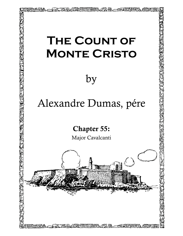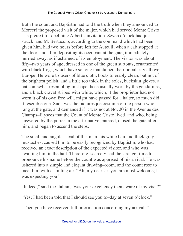Both the count and Baptistin had told the truth when they announced to Morcerf the proposed visit of the major, which had served Monte Cristo as a pretext for declining Albert's invitation. Seven o'clock had just struck, and M. Bertuccio, according to the command which had been given him, had two hours before left for Auteuil, when a cab stopped at the door, and after depositing its occupant at the gate, immediately hurried away, as if ashamed of its employment. The visitor was about fifty–two years of age, dressed in one of the green surtouts, ornamented with black frogs, which have so long maintained their popularity all over Europe. He wore trousers of blue cloth, boots tolerably clean, but not of the brightest polish, and a little too thick in the soles, buckskin gloves, a hat somewhat resembling in shape those usually worn by the gendarmes, and a black cravat striped with white, which, if the proprietor had not worn it of his own free will, might have passed for a halter, so much did it resemble one. Such was the picturesque costume of the person who rang at the gate, and demanded if it was not at No. 30 in the Avenue des Champs–Elysees that the Count of Monte Cristo lived, and who, being answered by the porter in the affirmative, entered, closed the gate after him, and began to ascend the steps.

The small and angular head of this man, his white hair and thick gray mustaches, caused him to be easily recognized by Baptistin, who had received an exact description of the expected visitor, and who was awaiting him in the hall. Therefore, scarcely had the stranger time to pronounce his name before the count was apprised of his arrival. He was ushered into a simple and elegant drawing–room, and the count rose to meet him with a smiling air. "Ah, my dear sir, you are most welcome; I was expecting you."

"Indeed," said the Italian, "was your excellency then aware of my visit?"

"Yes; I had been told that I should see you to–day at seven o'clock."

"Then you have received full information concerning my arrival?"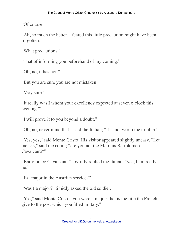"Of course."

"Ah, so much the better, I feared this little precaution might have been forgotten."

"What precaution?"

"That of informing you beforehand of my coming."

"Oh, no, it has not."

"But you are sure you are not mistaken."

"Very sure."

"It really was I whom your excellency expected at seven o'clock this evening?"

"I will prove it to you beyond a doubt."

"Oh, no, never mind that," said the Italian; "it is not worth the trouble."

"Yes, yes," said Monte Cristo. His visitor appeared slightly uneasy. "Let me see," said the count; "are you not the Marquis Bartolomeo Cavalcanti?"

"Bartolomeo Cavalcanti," joyfully replied the Italian; "yes, I am really he."

"Ex–major in the Austrian service?"

"Was I a major?" timidly asked the old soldier.

"Yes," said Monte Cristo "you were a major; that is the title the French give to the post which you filled in Italy."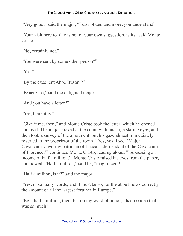"Very good," said the major, "I do not demand more, you understand"—

"Your visit here to–day is not of your own suggestion, is it?" said Monte Cristo.

"No, certainly not."

"You were sent by some other person?"

"Yes."

"By the excellent Abbe Busoni?"

"Exactly so," said the delighted major.

"And you have a letter?"

"Yes, there it is."

"Give it me, then;" and Monte Cristo took the letter, which he opened and read. The major looked at the count with his large staring eyes, and then took a survey of the apartment, but his gaze almost immediately reverted to the proprietor of the room. "Yes, yes, I see. 'Major Cavalcanti, a worthy patrician of Lucca, a descendant of the Cavalcanti of Florence,'" continued Monte Cristo, reading aloud, "'possessing an income of half a million.'" Monte Cristo raised his eyes from the paper, and bowed. "Half a million," said he, "magnificent!"

"Half a million, is it?" said the major.

"Yes, in so many words; and it must be so, for the abbe knows correctly the amount of all the largest fortunes in Europe."

"Be it half a million, then; but on my word of honor, I had no idea that it was so much."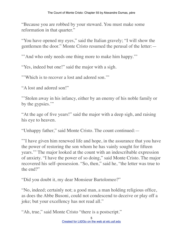"Because you are robbed by your steward. You must make some reformation in that quarter."

"You have opened my eyes," said the Italian gravely; "I will show the gentlemen the door." Monte Cristo resumed the perusal of the letter:—

"' And who only needs one thing more to make him happy."

"Yes, indeed but one!" said the major with a sigh.

"'Which is to recover a lost and adored son.'"

"A lost and adored son!"

"'Stolen away in his infancy, either by an enemy of his noble family or by the gypsies."

"At the age of five years!" said the major with a deep sigh, and raising his eye to heaven.

"Unhappy father," said Monte Cristo. The count continued:—

"'I have given him renewed life and hope, in the assurance that you have the power of restoring the son whom he has vainly sought for fifteen years.'" The major looked at the count with an indescribable expression of anxiety. "I have the power of so doing," said Monte Cristo. The major recovered his self–possession. "So, then," said he, "the letter was true to the end?"

"Did you doubt it, my dear Monsieur Bartolomeo?"

"No, indeed; certainly not; a good man, a man holding religious office, as does the Abbe Busoni, could not condescend to deceive or play off a joke; but your excellency has not read all."

"Ah, true," said Monte Cristo "there is a postscript."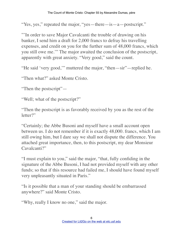"Yes, yes," repeated the major, "yes—there—is—a—postscript."

"'In order to save Major Cavalcanti the trouble of drawing on his banker, I send him a draft for 2,000 francs to defray his travelling expenses, and credit on you for the further sum of 48,000 francs, which you still owe me.'" The major awaited the conclusion of the postscript, apparently with great anxiety. "Very good," said the count.

"He said 'very good,'" muttered the major, "then—sir"—replied he.

"Then what?" asked Monte Cristo.

"Then the postscript"—

"Well; what of the postscript?"

"Then the postscript is as favorably received by you as the rest of the letter?"

"Certainly; the Abbe Busoni and myself have a small account open between us. I do not remember if it is exactly 48,000. francs, which I am still owing him, but I dare say we shall not dispute the difference. You attached great importance, then, to this postscript, my dear Monsieur Cavalcanti?"

"I must explain to you," said the major, "that, fully confiding in the signature of the Abbe Busoni, I had not provided myself with any other funds; so that if this resource had failed me, I should have found myself very unpleasantly situated in Paris."

"Is it possible that a man of your standing should be embarrassed anywhere?" said Monte Cristo.

"Why, really I know no one," said the major.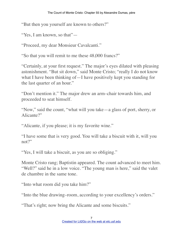"But then you yourself are known to others?"

"Yes, I am known, so that"-

"Proceed, my dear Monsieur Cavalcanti."

"So that you will remit to me these 48,000 francs?"

"Certainly, at your first request." The major's eyes dilated with pleasing astonishment. "But sit down," said Monte Cristo; "really I do not know what I have been thinking of—I have positively kept you standing for the last quarter of an hour."

"Don't mention it." The major drew an arm–chair towards him, and proceeded to seat himself.

"Now," said the count, "what will you take—a glass of port, sherry, or Alicante?"

"Alicante, if you please; it is my favorite wine."

"I have some that is very good. You will take a biscuit with it, will you not?"

"Yes, I will take a biscuit, as you are so obliging."

Monte Cristo rang; Baptistin appeared. The count advanced to meet him. "Well?" said he in a low voice. "The young man is here," said the valet de chambre in the same tone.

"Into what room did you take him?"

"Into the blue drawing–room, according to your excellency's orders."

"That's right; now bring the Alicante and some biscuits."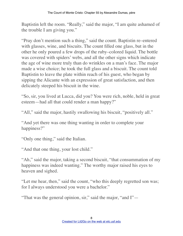Baptistin left the room. "Really," said the major, "I am quite ashamed of the trouble I am giving you."

"Pray don't mention such a thing," said the count. Baptistin re–entered with glasses, wine, and biscuits. The count filled one glass, but in the other he only poured a few drops of the ruby–colored liquid. The bottle was covered with spiders' webs, and all the other signs which indicate the age of wine more truly than do wrinkles on a man's face. The major made a wise choice; he took the full glass and a biscuit. The count told Baptistin to leave the plate within reach of his guest, who began by sipping the Alicante with an expression of great satisfaction, and then delicately steeped his biscuit in the wine.

"So, sir, you lived at Lucca, did you? You were rich, noble, held in great esteem—had all that could render a man happy?"

"All," said the major, hastily swallowing his biscuit, "positively all."

"And yet there was one thing wanting in order to complete your happiness?"

"Only one thing," said the Italian.

"And that one thing, your lost child."

"Ah," said the major, taking a second biscuit, "that consummation of my happiness was indeed wanting." The worthy major raised his eyes to heaven and sighed.

"Let me hear, then," said the count, "who this deeply regretted son was; for I always understood you were a bachelor."

"That was the general opinion, sir," said the major, "and I"—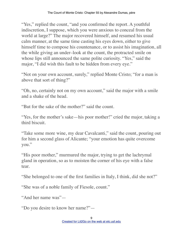"Yes," replied the count, "and you confirmed the report. A youthful indiscretion, I suppose, which you were anxious to conceal from the world at large?" The major recovered himself, and resumed his usual calm manner, at the same time casting his eyes down, either to give himself time to compose his countenance, or to assist his imagination, all the while giving an under–look at the count, the protracted smile on whose lips still announced the same polite curiosity. "Yes," said the major, "I did wish this fault to be hidden from every eye."

"Not on your own account, surely," replied Monte Cristo; "for a man is above that sort of thing?"

"Oh, no, certainly not on my own account," said the major with a smile and a shake of the head.

"But for the sake of the mother?" said the count.

"Yes, for the mother's sake—his poor mother!" cried the major, taking a third biscuit.

"Take some more wine, my dear Cavalcanti," said the count, pouring out for him a second glass of Alicante; "your emotion has quite overcome you."

"His poor mother," murmured the major, trying to get the lachrymal gland in operation, so as to moisten the corner of his eye with a false tear.

"She belonged to one of the first families in Italy, I think, did she not?"

"She was of a noble family of Fiesole, count."

"And her name was"—

"Do you desire to know her name?"—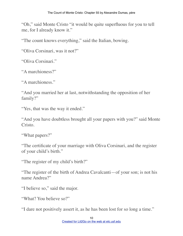"Oh," said Monte Cristo "it would be quite superfluous for you to tell me, for I already know it."

"The count knows everything," said the Italian, bowing.

"Oliva Corsinari, was it not?"

"Oliva Corsinari."

"A marchioness?"

"A marchioness."

"And you married her at last, notwithstanding the opposition of her family?"

"Yes, that was the way it ended."

"And you have doubtless brought all your papers with you?" said Monte Cristo.

"What papers?"

"The certificate of your marriage with Oliva Corsinari, and the register of your child's birth."

"The register of my child's birth?"

"The register of the birth of Andrea Cavalcanti—of your son; is not his name Andrea?"

"I believe so," said the major.

"What? You believe so?"

"I dare not positively assert it, as he has been lost for so long a time."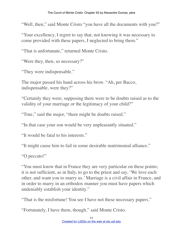"Well, then," said Monte Cristo "you have all the documents with you?"

"Your excellency, I regret to say that, not knowing it was necessary to come provided with these papers, I neglected to bring them."

"That is unfortunate," returned Monte Cristo.

"Were they, then, so necessary?"

"They were indispensable."

The major passed his hand across his brow. "Ah, per Bacco, indispensable, were they?"

"Certainly they were; supposing there were to be doubts raised as to the validity of your marriage or the legitimacy of your child?"

"True," said the major, "there might be doubts raised."

"In that case your son would be very unpleasantly situated."

"It would be fatal to his interests."

"It might cause him to fail in some desirable matrimonial alliance."

"O peccato!"

"You must know that in France they are very particular on these points; it is not sufficient, as in Italy, to go to the priest and say, 'We love each other, and want you to marry us.' Marriage is a civil affair in France, and in order to marry in an orthodox manner you must have papers which undeniably establish your identity."

"That is the misfortune! You see I have not these necessary papers."

"Fortunately, I have them, though," said Monte Cristo.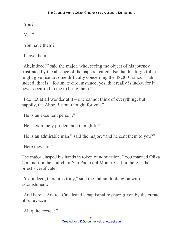"You?"

"Yes."

"You have them?"

"I have them."

"Ah, indeed?" said the major, who, seeing the object of his journey frustrated by the absence of the papers, feared also that his forgetfulness might give rise to some difficulty concerning the 48,000 francs—"ah, indeed, that is a fortunate circumstance; yes, that really is lucky, for it never occurred to me to bring them."

"I do not at all wonder at it—one cannot think of everything; but, happily, the Abbe Busoni thought for you."

"He is an excellent person."

"He is extremely prudent and thoughtful"

"He is an admirable man," said the major; "and he sent them to you?"

"Here they are."

The major clasped his hands in token of admiration. "You married Oliva Corsinari in the church of San Paolo del Monte–Cattini; here is the priest's certificate."

"Yes indeed, there it is truly," said the Italian, looking on with astonishment.

"And here is Andrea Cavalcanti's baptismal register, given by the curate of Saravezza."

```
"All quite correct."
```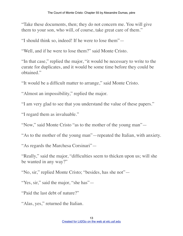"Take these documents, then; they do not concern me. You will give them to your son, who will, of course, take great care of them."

"I should think so, indeed! If he were to lose them"—

"Well, and if he were to lose them?" said Monte Cristo.

"In that case," replied the major, "it would be necessary to write to the curate for duplicates, and it would be some time before they could be obtained."

"It would be a difficult matter to arrange," said Monte Cristo.

"Almost an impossibility," replied the major.

"I am very glad to see that you understand the value of these papers."

"I regard them as invaluable."

"Now," said Monte Cristo "as to the mother of the young man"—

"As to the mother of the young man"—repeated the Italian, with anxiety.

"As regards the Marchesa Corsinari"—

"Really," said the major, "difficulties seem to thicken upon us; will she be wanted in any way?"

"No, sir," replied Monte Cristo; "besides, has she not"—

"Yes, sir," said the major, "she has"—

"Paid the last debt of nature?"

"Alas, yes," returned the Italian.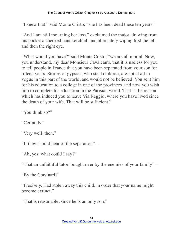"I knew that," said Monte Cristo; "she has been dead these ten years."

"And I am still mourning her loss," exclaimed the major, drawing from his pocket a checked handkerchief, and alternately wiping first the left and then the right eye.

"What would you have?" said Monte Cristo; "we are all mortal. Now, you understand, my dear Monsieur Cavalcanti, that it is useless for you to tell people in France that you have been separated from your son for fifteen years. Stories of gypsies, who steal children, are not at all in vogue in this part of the world, and would not be believed. You sent him for his education to a college in one of the provinces, and now you wish him to complete his education in the Parisian world. That is the reason which has induced you to leave Via Reggio, where you have lived since the death of your wife. That will be sufficient."

```
"You think so?"
```
"Certainly."

```
"Very well, then."
```
"If they should hear of the separation"—

"Ah, yes; what could I say?"

"That an unfaithful tutor, bought over by the enemies of your family"—

"By the Corsinari?"

"Precisely. Had stolen away this child, in order that your name might become extinct."

"That is reasonable, since he is an only son."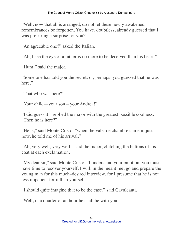"Well, now that all is arranged, do not let these newly awakened remembrances be forgotten. You have, doubtless, already guessed that I was preparing a surprise for you?"

"An agreeable one?" asked the Italian.

"Ah, I see the eye of a father is no more to be deceived than his heart."

"Hum!" said the major.

"Some one has told you the secret; or, perhaps, you guessed that he was here."

"That who was here?"

"Your child—your son—your Andrea!"

"I did guess it," replied the major with the greatest possible coolness. "Then he is here?"

"He is," said Monte Cristo; "when the valet de chambre came in just now, he told me of his arrival."

"Ah, very well, very well," said the major, clutching the buttons of his coat at each exclamation.

"My dear sir," said Monte Cristo, "I understand your emotion; you must have time to recover yourself. I will, in the meantime, go and prepare the young man for this much–desired interview, for I presume that he is not less impatient for it than yourself."

"I should quite imagine that to be the case," said Cavalcanti.

"Well, in a quarter of an hour he shall be with you."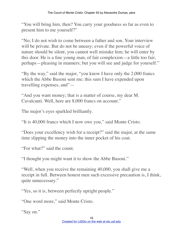"You will bring him, then? You carry your goodness so far as even to present him to me yourself?"

"No; I do not wish to come between a father and son. Your interview will be private. But do not be uneasy; even if the powerful voice of nature should be silent, you cannot well mistake him; he will enter by this door. He is a fine young man, of fair complexion—a little too fair, perhaps—pleasing in manners; but you will see and judge for yourself."

"By the way," said the major, "you know I have only the 2,000 francs which the Abbe Busoni sent me; this sum I have expended upon travelling expenses, and"—

"And you want money; that is a matter of course, my dear M. Cavalcanti. Well, here are 8,000 francs on account."

The major's eyes sparkled brilliantly.

"It is 40,000 francs which I now owe you," said Monte Cristo.

"Does your excellency wish for a receipt?" said the major, at the same time slipping the money into the inner pocket of his coat.

"For what?" said the count.

"I thought you might want it to show the Abbe Busoni."

"Well, when you receive the remaining 40,000, you shall give me a receipt in full. Between honest men such excessive precaution is, I think, quite unnecessary."

"Yes, so it is, between perfectly upright people."

"One word more," said Monte Cristo.

"Say on."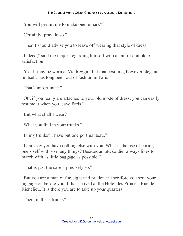"You will permit me to make one remark?"

"Certainly; pray do so."

"Then I should advise you to leave off wearing that style of dress."

"Indeed," said the major, regarding himself with an air of complete satisfaction.

"Yes. It may be worn at Via Reggio; but that costume, however elegant in itself, has long been out of fashion in Paris."

"That's unfortunate."

"Oh, if you really are attached to your old mode of dress; you can easily resume it when you leave Paris."

"But what shall I wear?"

"What you find in your trunks."

"In my trunks? I have but one portmanteau."

"I dare say you have nothing else with you. What is the use of boring one's self with so many things? Besides an old soldier always likes to march with as little baggage as possible."

"That is just the case—precisely so."

"But you are a man of foresight and prudence, therefore you sent your luggage on before you. It has arrived at the Hotel des Princes, Rue de Richelieu. It is there you are to take up your quarters."

"Then, in these trunks"—